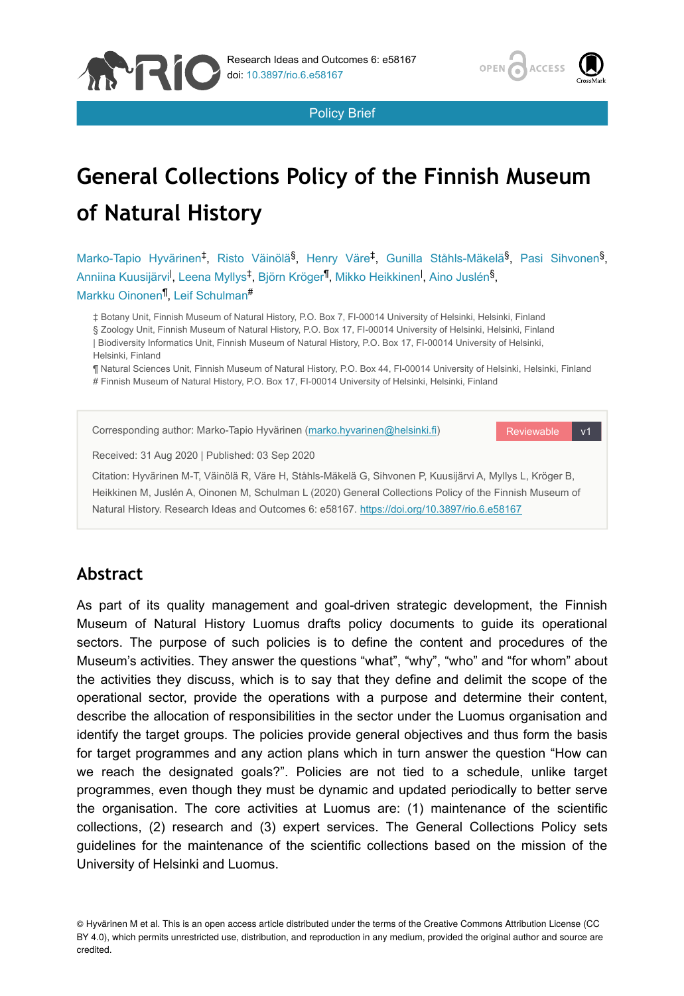

Policy Brief

# **General Collections Policy of the Finnish Museum of Natural History**

Marko-Tapio Hyvärinen<sup>‡</sup>, Risto Väinölä<sup>§</sup>, Henry Väre<sup>‡</sup>, Gunilla Ståhls-Mäkelä<sup>§</sup>, Pasi Sihvonen<sup>§</sup>, Anniina Kuusijärvi<sup>l</sup>, Leena Myllys<sup>‡</sup>, Björn Kröger<sup>¶</sup>, Mikko Heikkinen<sup>l</sup>, Aino Juslén<sup>§</sup>, Markku Oinonen<sup>¶</sup>, Leif Schulman<sup>#</sup>

‡ Botany Unit, Finnish Museum of Natural History, P.O. Box 7, FI-00014 University of Helsinki, Helsinki, Finland § Zoology Unit, Finnish Museum of Natural History, P.O. Box 17, FI-00014 University of Helsinki, Helsinki, Finland | Biodiversity Informatics Unit, Finnish Museum of Natural History, P.O. Box 17, FI-00014 University of Helsinki, Helsinki, Finland

¶ Natural Sciences Unit, Finnish Museum of Natural History, P.O. Box 44, FI-00014 University of Helsinki, Helsinki, Finland # Finnish Museum of Natural History, P.O. Box 17, FI-00014 University of Helsinki, Helsinki, Finland



#### **Abstract**

**APRIC** 

As part of its quality management and goal-driven strategic development, the Finnish Museum of Natural History Luomus drafts policy documents to guide its operational sectors. The purpose of such policies is to define the content and procedures of the Museum's activities. They answer the questions "what", "why", "who" and "for whom" about the activities they discuss, which is to say that they define and delimit the scope of the operational sector, provide the operations with a purpose and determine their content, describe the allocation of responsibilities in the sector under the Luomus organisation and identify the target groups. The policies provide general objectives and thus form the basis for target programmes and any action plans which in turn answer the question "How can we reach the designated goals?". Policies are not tied to a schedule, unlike target programmes, even though they must be dynamic and updated periodically to better serve the organisation. The core activities at Luomus are: (1) maintenance of the scientific collections, (2) research and (3) expert services. The General Collections Policy sets guidelines for the maintenance of the scientific collections based on the mission of the University of Helsinki and Luomus.

© Hyvärinen M et al. This is an open access article distributed under the terms of the Creative Commons Attribution License (CC BY 4.0), which permits unrestricted use, distribution, and reproduction in any medium, provided the original author and source are credited.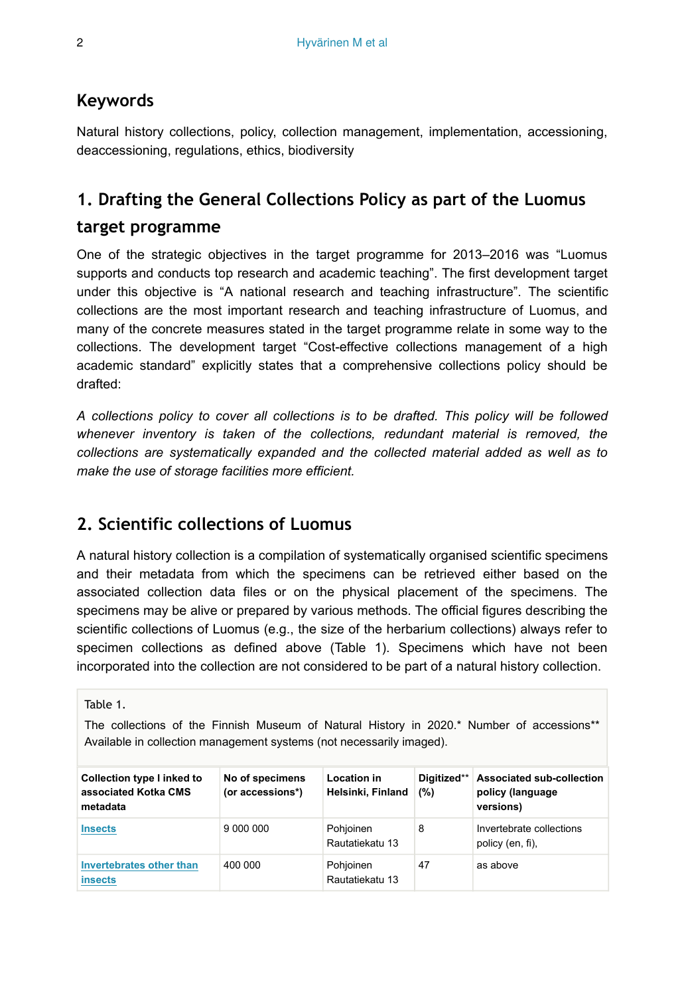#### **Keywords**

Natural history collections, policy, collection management, implementation, accessioning, deaccessioning, regulations, ethics, biodiversity

# **1. Drafting the General Collections Policy as part of the Luomus**

#### **target programme**

One of the strategic objectives in the target programme for 2013–2016 was "Luomus supports and conducts top research and academic teaching". The first development target under this objective is "A national research and teaching infrastructure". The scientific collections are the most important research and teaching infrastructure of Luomus, and many of the concrete measures stated in the target programme relate in some way to the collections. The development target "Cost-effective collections management of a high academic standard" explicitly states that a comprehensive collections policy should be drafted:

*A collections policy to cover all collections is to be drafted. This policy will be followed whenever inventory is taken of the collections, redundant material is removed, the collections are systematically expanded and the collected material added as well as to make the use of storage facilities more efficient.*

# **2. Scientific collections of Luomus**

A natural history collection is a compilation of systematically organised scientific specimens and their metadata from which the specimens can be retrieved either based on the associated collection data files or on the physical placement of the specimens. The specimens may be alive or prepared by various methods. The official figures describing the scientific collections of Luomus (e.g., the size of the herbarium collections) always refer to specimen collections as defined above (Table 1). Specimens which have not been incorporated into the collection are not considered to be part of a natural history collection.

#### Table 1.

The collections of the Finnish Museum of Natural History in 2020.\* Number of accessions\*\* Available in collection management systems (not necessarily imaged).

| Collection type I inked to<br>associated Kotka CMS<br>metadata | No of specimens<br>(or accessions*) | Location in<br>Helsinki, Finland | Digitized**<br>(%) | Associated sub-collection<br>policy (language<br>versions) |
|----------------------------------------------------------------|-------------------------------------|----------------------------------|--------------------|------------------------------------------------------------|
| <b>Insects</b>                                                 | 9 000 000                           | Pohjoinen<br>Rautatiekatu 13     | 8                  | Invertebrate collections<br>policy (en, fi),               |
| Invertebrates other than<br><i>insects</i>                     | 400 000                             | Pohjoinen<br>Rautatiekatu 13     | 47                 | as above                                                   |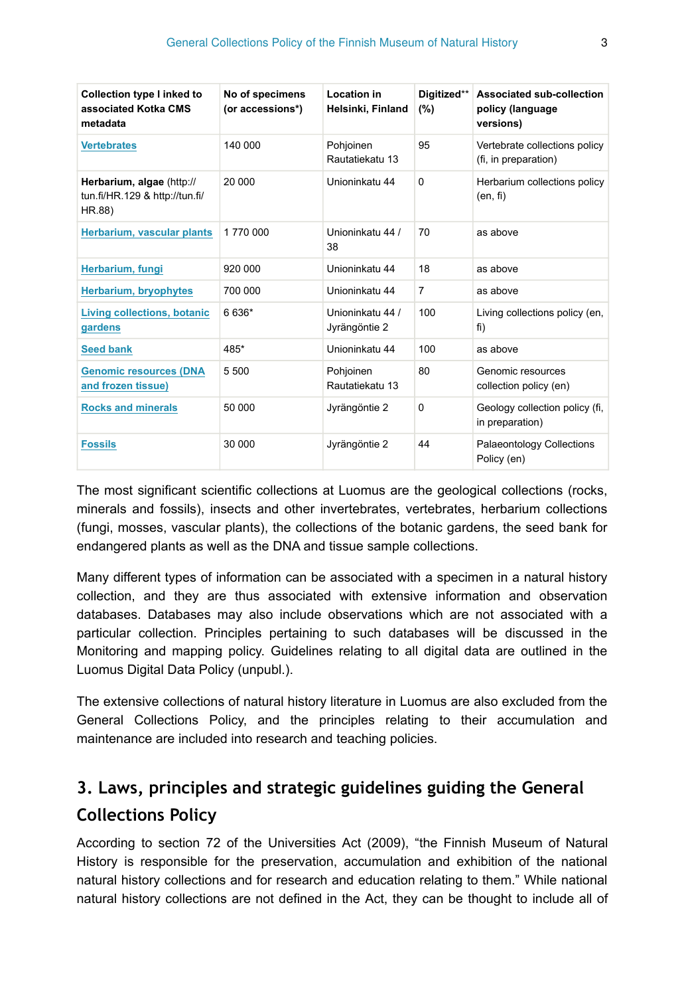| Collection type I inked to<br>associated Kotka CMS<br>metadata        | No of specimens<br>(or accessions*) | <b>Location in</b><br>Helsinki, Finland | Digitized**<br>(%) | Associated sub-collection<br>policy (language<br>versions) |
|-----------------------------------------------------------------------|-------------------------------------|-----------------------------------------|--------------------|------------------------------------------------------------|
| <b>Vertebrates</b>                                                    | 140 000                             | Pohjoinen<br>Rautatiekatu 13            | 95                 | Vertebrate collections policy<br>(fi, in preparation)      |
| Herbarium, algae (http://<br>tun.fi/HR.129 & http://tun.fi/<br>HR.88) | 20 000                              | Unioninkatu 44                          | $\Omega$           | Herbarium collections policy<br>(en, fi)                   |
| Herbarium, vascular plants                                            | 1770 000                            | Unioninkatu 44 /<br>38                  | 70                 | as above                                                   |
| Herbarium, fungi                                                      | 920 000                             | Unioninkatu 44                          | 18                 | as above                                                   |
| Herbarium, bryophytes                                                 | 700 000                             | Unioninkatu 44                          | $\overline{7}$     | as above                                                   |
| Living collections, botanic<br>gardens                                | 6 636*                              | Unioninkatu 44 /<br>Jyrängöntie 2       | 100                | Living collections policy (en,<br>fi)                      |
| <b>Seed bank</b>                                                      | 485*                                | Unioninkatu 44                          | 100                | as above                                                   |
| <b>Genomic resources (DNA</b><br>and frozen tissue)                   | 5 500                               | Pohjoinen<br>Rautatiekatu 13            | 80                 | Genomic resources<br>collection policy (en)                |
| <b>Rocks and minerals</b>                                             | 50 000                              | Jyrängöntie 2                           | $\mathbf 0$        | Geology collection policy (fi,<br>in preparation)          |
| <b>Fossils</b>                                                        | 30 000                              | Jyrängöntie 2                           | 44                 | <b>Palaeontology Collections</b><br>Policy (en)            |

The most significant scientific collections at Luomus are the geological collections (rocks, minerals and fossils), insects and other invertebrates, vertebrates, herbarium collections (fungi, mosses, vascular plants), the collections of the botanic gardens, the seed bank for endangered plants as well as the DNA and tissue sample collections.

Many different types of information can be associated with a specimen in a natural history collection, and they are thus associated with extensive information and observation databases. Databases may also include observations which are not associated with a particular collection. Principles pertaining to such databases will be discussed in the Monitoring and mapping policy. Guidelines relating to all digital data are outlined in the Luomus Digital Data Policy (unpubl.).

The extensive collections of natural history literature in Luomus are also excluded from the General Collections Policy, and the principles relating to their accumulation and maintenance are included into research and teaching policies.

# **3. Laws, principles and strategic guidelines guiding the General Collections Policy**

According to section 72 of the Universities Act (2009), "the Finnish Museum of Natural History is responsible for the preservation, accumulation and exhibition of the national natural history collections and for research and education relating to them." While national natural history collections are not defined in the Act, they can be thought to include all of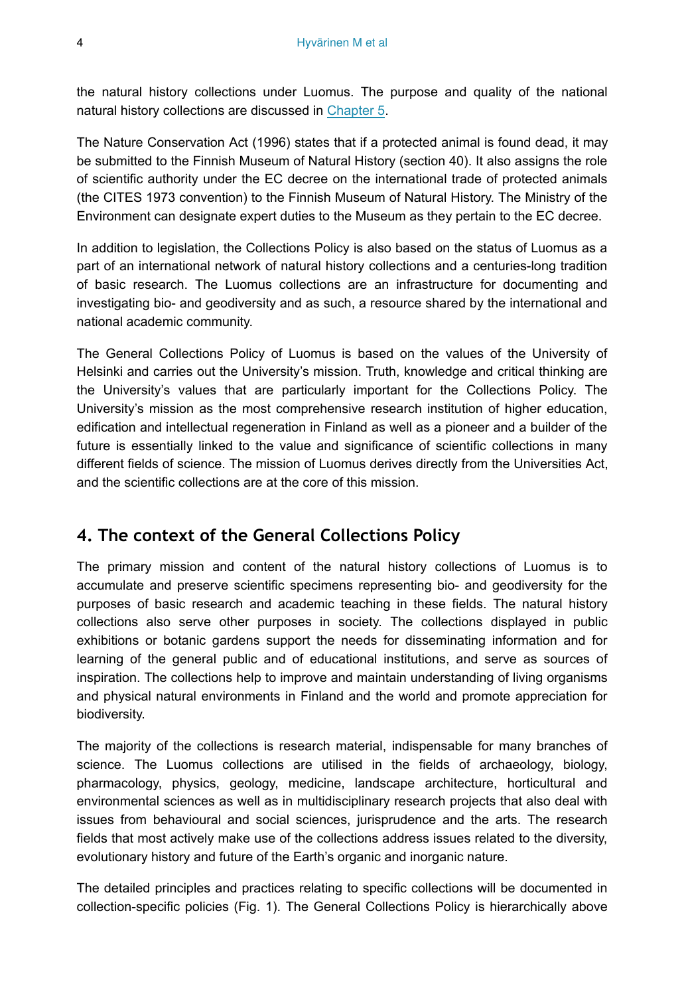the natural history collections under Luomus. The purpose and quality of the national natural history collections are discussed in Chapter 5.

The Nature Conservation Act (1996) states that if a protected animal is found dead, it may be submitted to the Finnish Museum of Natural History (section 40). It also assigns the role of scientific authority under the EC decree on the international trade of protected animals (the CITES 1973 convention) to the Finnish Museum of Natural History. The Ministry of the Environment can designate expert duties to the Museum as they pertain to the EC decree.

In addition to legislation, the Collections Policy is also based on the status of Luomus as a part of an international network of natural history collections and a centuries-long tradition of basic research. The Luomus collections are an infrastructure for documenting and investigating bio- and geodiversity and as such, a resource shared by the international and national academic community.

The General Collections Policy of Luomus is based on the values of the University of Helsinki and carries out the University's mission. Truth, knowledge and critical thinking are the University's values that are particularly important for the Collections Policy. The University's mission as the most comprehensive research institution of higher education, edification and intellectual regeneration in Finland as well as a pioneer and a builder of the future is essentially linked to the value and significance of scientific collections in many different fields of science. The mission of Luomus derives directly from the Universities Act, and the scientific collections are at the core of this mission.

# **4. The context of the General Collections Policy**

The primary mission and content of the natural history collections of Luomus is to accumulate and preserve scientific specimens representing bio- and geodiversity for the purposes of basic research and academic teaching in these fields. The natural history collections also serve other purposes in society. The collections displayed in public exhibitions or botanic gardens support the needs for disseminating information and for learning of the general public and of educational institutions, and serve as sources of inspiration. The collections help to improve and maintain understanding of living organisms and physical natural environments in Finland and the world and promote appreciation for biodiversity.

The majority of the collections is research material, indispensable for many branches of science. The Luomus collections are utilised in the fields of archaeology, biology, pharmacology, physics, geology, medicine, landscape architecture, horticultural and environmental sciences as well as in multidisciplinary research projects that also deal with issues from behavioural and social sciences, jurisprudence and the arts. The research fields that most actively make use of the collections address issues related to the diversity, evolutionary history and future of the Earth's organic and inorganic nature.

The detailed principles and practices relating to specific collections will be documented in collection-specific policies (Fig. 1). The General Collections Policy is hierarchically above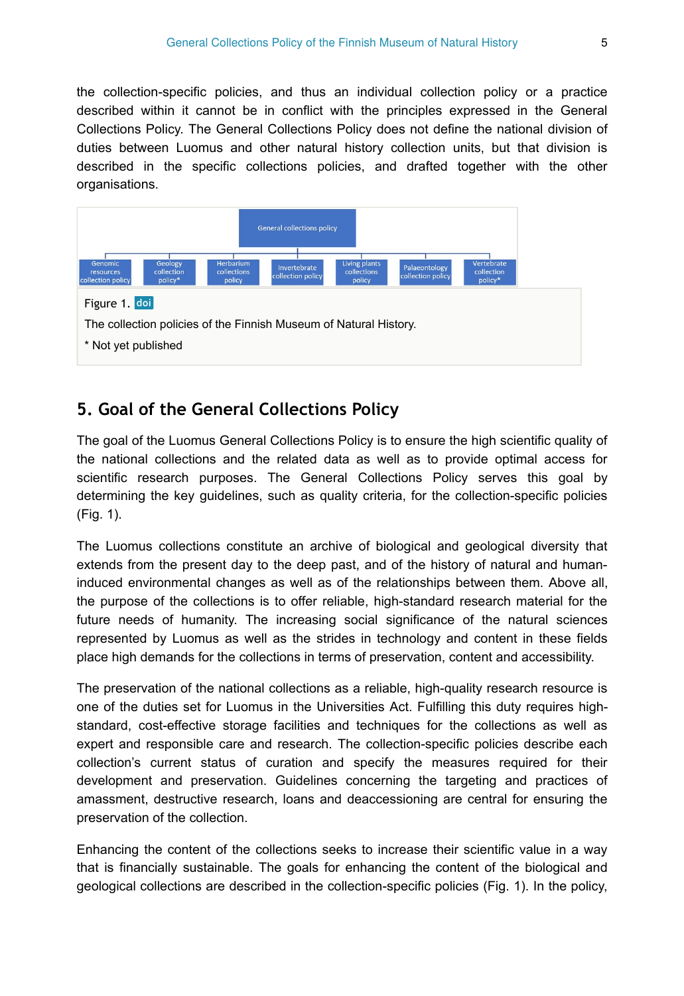the collection-specific policies, and thus an individual collection policy or a practice described within it cannot be in conflict with the principles expressed in the General Collections Policy. The General Collections Policy does not define the national division of duties between Luomus and other natural history collection units, but that division is described in the specific collections policies, and drafted together with the other organisations.



### **5. Goal of the General Collections Policy**

The goal of the Luomus General Collections Policy is to ensure the high scientific quality of the national collections and the related data as well as to provide optimal access for scientific research purposes. The General Collections Policy serves this goal by determining the key guidelines, such as quality criteria, for the collection-specific policies (Fig. 1).

The Luomus collections constitute an archive of biological and geological diversity that extends from the present day to the deep past, and of the history of natural and humaninduced environmental changes as well as of the relationships between them. Above all, the purpose of the collections is to offer reliable, high-standard research material for the future needs of humanity. The increasing social significance of the natural sciences represented by Luomus as well as the strides in technology and content in these fields place high demands for the collections in terms of preservation, content and accessibility.

The preservation of the national collections as a reliable, high-quality research resource is one of the duties set for Luomus in the Universities Act. Fulfilling this duty requires highstandard, cost-effective storage facilities and techniques for the collections as well as expert and responsible care and research. The collection-specific policies describe each collection's current status of curation and specify the measures required for their development and preservation. Guidelines concerning the targeting and practices of amassment, destructive research, loans and deaccessioning are central for ensuring the preservation of the collection.

Enhancing the content of the collections seeks to increase their scientific value in a way that is financially sustainable. The goals for enhancing the content of the biological and geological collections are described in the collection-specific policies (Fig. 1). In the policy,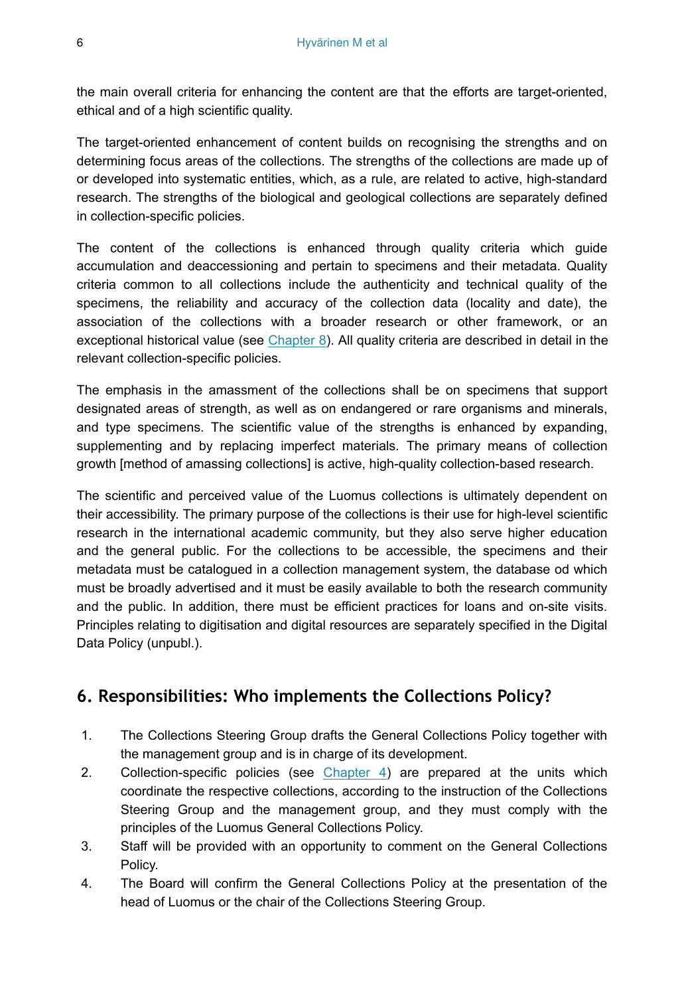the main overall criteria for enhancing the content are that the efforts are target-oriented, ethical and of a high scientific quality.

The target-oriented enhancement of content builds on recognising the strengths and on determining focus areas of the collections. The strengths of the collections are made up of or developed into systematic entities, which, as a rule, are related to active, high-standard research. The strengths of the biological and geological collections are separately defined in collection-specific policies.

The content of the collections is enhanced through quality criteria which guide accumulation and deaccessioning and pertain to specimens and their metadata. Quality criteria common to all collections include the authenticity and technical quality of the specimens, the reliability and accuracy of the collection data (locality and date), the association of the collections with a broader research or other framework, or an exceptional historical value (see Chapter 8). All quality criteria are described in detail in the relevant collection-specific policies.

The emphasis in the amassment of the collections shall be on specimens that support designated areas of strength, as well as on endangered or rare organisms and minerals, and type specimens. The scientific value of the strengths is enhanced by expanding, supplementing and by replacing imperfect materials. The primary means of collection growth [method of amassing collections] is active, high-quality collection-based research.

The scientific and perceived value of the Luomus collections is ultimately dependent on their accessibility. The primary purpose of the collections is their use for high-level scientific research in the international academic community, but they also serve higher education and the general public. For the collections to be accessible, the specimens and their metadata must be catalogued in a collection management system, the database od which must be broadly advertised and it must be easily available to both the research community and the public. In addition, there must be efficient practices for loans and on-site visits. Principles relating to digitisation and digital resources are separately specified in the Digital Data Policy (unpubl.).

# **6. Responsibilities: Who implements the Collections Policy?**

- 1. The Collections Steering Group drafts the General Collections Policy together with the management group and is in charge of its development.
- 2. Collection-specific policies (see Chapter 4) are prepared at the units which coordinate the respective collections, according to the instruction of the Collections Steering Group and the management group, and they must comply with the principles of the Luomus General Collections Policy.
- 3. Staff will be provided with an opportunity to comment on the General Collections Policy.
- 4. The Board will confirm the General Collections Policy at the presentation of the head of Luomus or the chair of the Collections Steering Group.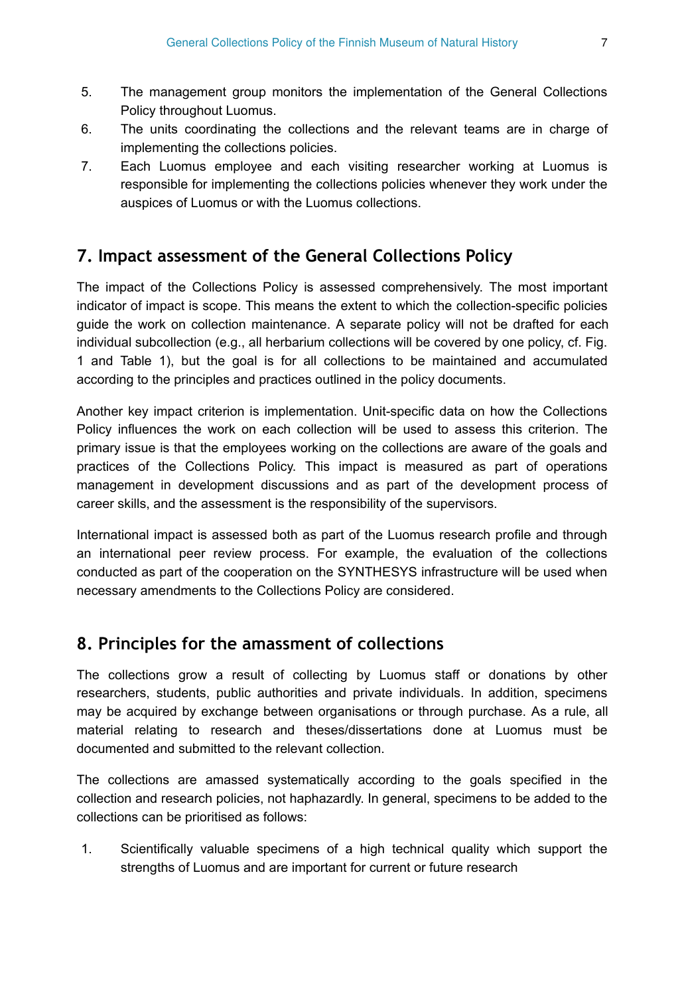- 5. The management group monitors the implementation of the General Collections Policy throughout Luomus.
- 6. The units coordinating the collections and the relevant teams are in charge of implementing the collections policies.
- 7. Each Luomus employee and each visiting researcher working at Luomus is responsible for implementing the collections policies whenever they work under the auspices of Luomus or with the Luomus collections.

#### **7. Impact assessment of the General Collections Policy**

The impact of the Collections Policy is assessed comprehensively. The most important indicator of impact is scope. This means the extent to which the collection-specific policies guide the work on collection maintenance. A separate policy will not be drafted for each individual subcollection (e.g., all herbarium collections will be covered by one policy, cf. Fig. 1 and Table 1), but the goal is for all collections to be maintained and accumulated according to the principles and practices outlined in the policy documents.

Another key impact criterion is implementation. Unit-specific data on how the Collections Policy influences the work on each collection will be used to assess this criterion. The primary issue is that the employees working on the collections are aware of the goals and practices of the Collections Policy. This impact is measured as part of operations management in development discussions and as part of the development process of career skills, and the assessment is the responsibility of the supervisors.

International impact is assessed both as part of the Luomus research profile and through an international peer review process. For example, the evaluation of the collections conducted as part of the cooperation on the SYNTHESYS infrastructure will be used when necessary amendments to the Collections Policy are considered.

#### **8. Principles for the amassment of collections**

The collections grow a result of collecting by Luomus staff or donations by other researchers, students, public authorities and private individuals. In addition, specimens may be acquired by exchange between organisations or through purchase. As a rule, all material relating to research and theses/dissertations done at Luomus must be documented and submitted to the relevant collection.

The collections are amassed systematically according to the goals specified in the collection and research policies, not haphazardly. In general, specimens to be added to the collections can be prioritised as follows:

1. Scientifically valuable specimens of a high technical quality which support the strengths of Luomus and are important for current or future research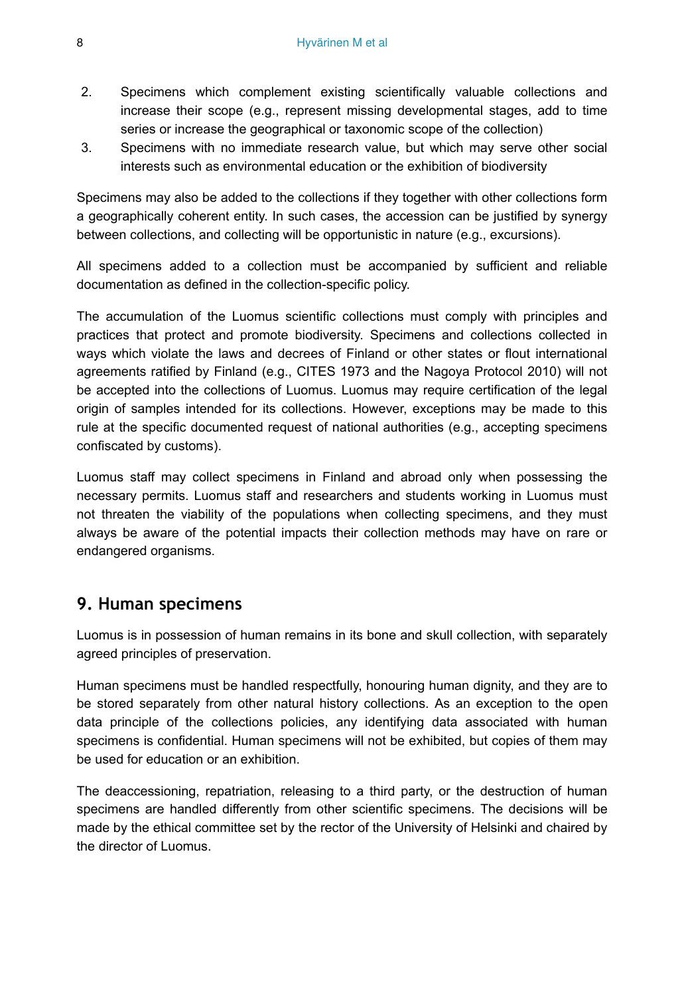- 2. Specimens which complement existing scientifically valuable collections and increase their scope (e.g., represent missing developmental stages, add to time series or increase the geographical or taxonomic scope of the collection)
- 3. Specimens with no immediate research value, but which may serve other social interests such as environmental education or the exhibition of biodiversity

Specimens may also be added to the collections if they together with other collections form a geographically coherent entity. In such cases, the accession can be justified by synergy between collections, and collecting will be opportunistic in nature (e.g., excursions).

All specimens added to a collection must be accompanied by sufficient and reliable documentation as defined in the collection-specific policy.

The accumulation of the Luomus scientific collections must comply with principles and practices that protect and promote biodiversity. Specimens and collections collected in ways which violate the laws and decrees of Finland or other states or flout international agreements ratified by Finland (e.g., CITES 1973 and the Nagoya Protocol 2010) will not be accepted into the collections of Luomus. Luomus may require certification of the legal origin of samples intended for its collections. However, exceptions may be made to this rule at the specific documented request of national authorities (e.g., accepting specimens confiscated by customs).

Luomus staff may collect specimens in Finland and abroad only when possessing the necessary permits. Luomus staff and researchers and students working in Luomus must not threaten the viability of the populations when collecting specimens, and they must always be aware of the potential impacts their collection methods may have on rare or endangered organisms.

#### **9. Human specimens**

Luomus is in possession of human remains in its bone and skull collection, with separately agreed principles of preservation.

Human specimens must be handled respectfully, honouring human dignity, and they are to be stored separately from other natural history collections. As an exception to the open data principle of the collections policies, any identifying data associated with human specimens is confidential. Human specimens will not be exhibited, but copies of them may be used for education or an exhibition.

The deaccessioning, repatriation, releasing to a third party, or the destruction of human specimens are handled differently from other scientific specimens. The decisions will be made by the ethical committee set by the rector of the University of Helsinki and chaired by the director of Luomus.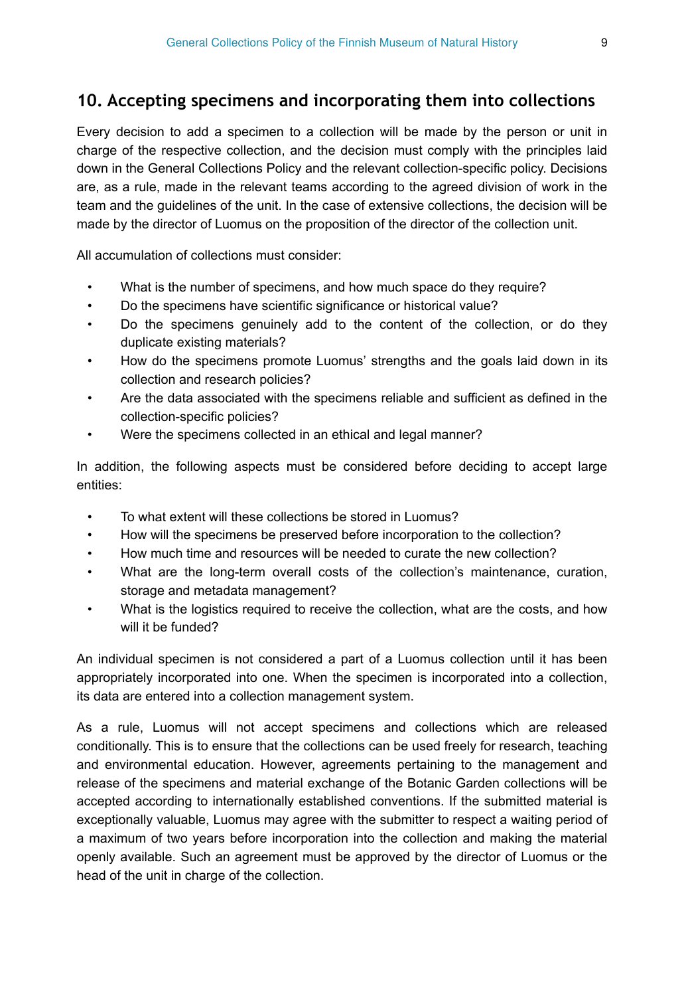#### **10. Accepting specimens and incorporating them into collections**

Every decision to add a specimen to a collection will be made by the person or unit in charge of the respective collection, and the decision must comply with the principles laid down in the General Collections Policy and the relevant collection-specific policy. Decisions are, as a rule, made in the relevant teams according to the agreed division of work in the team and the guidelines of the unit. In the case of extensive collections, the decision will be made by the director of Luomus on the proposition of the director of the collection unit.

All accumulation of collections must consider:

- What is the number of specimens, and how much space do they require?
- Do the specimens have scientific significance or historical value?
- Do the specimens genuinely add to the content of the collection, or do they duplicate existing materials?
- How do the specimens promote Luomus' strengths and the goals laid down in its collection and research policies?
- Are the data associated with the specimens reliable and sufficient as defined in the collection-specific policies?
- Were the specimens collected in an ethical and legal manner?

In addition, the following aspects must be considered before deciding to accept large entities:

- To what extent will these collections be stored in Luomus?
- How will the specimens be preserved before incorporation to the collection?
- How much time and resources will be needed to curate the new collection?
- What are the long-term overall costs of the collection's maintenance, curation, storage and metadata management?
- What is the logistics required to receive the collection, what are the costs, and how will it be funded?

An individual specimen is not considered a part of a Luomus collection until it has been appropriately incorporated into one. When the specimen is incorporated into a collection, its data are entered into a collection management system.

As a rule, Luomus will not accept specimens and collections which are released conditionally. This is to ensure that the collections can be used freely for research, teaching and environmental education. However, agreements pertaining to the management and release of the specimens and material exchange of the Botanic Garden collections will be accepted according to internationally established conventions. If the submitted material is exceptionally valuable, Luomus may agree with the submitter to respect a waiting period of a maximum of two years before incorporation into the collection and making the material openly available. Such an agreement must be approved by the director of Luomus or the head of the unit in charge of the collection.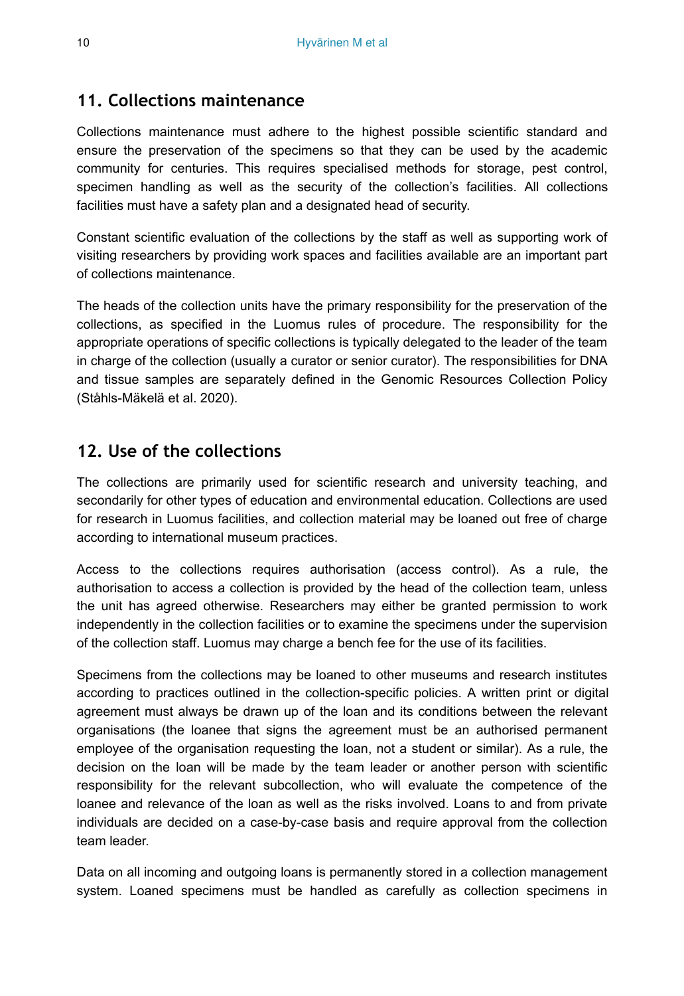#### **11. Collections maintenance**

Collections maintenance must adhere to the highest possible scientific standard and ensure the preservation of the specimens so that they can be used by the academic community for centuries. This requires specialised methods for storage, pest control, specimen handling as well as the security of the collection's facilities. All collections facilities must have a safety plan and a designated head of security.

Constant scientific evaluation of the collections by the staff as well as supporting work of visiting researchers by providing work spaces and facilities available are an important part of collections maintenance.

The heads of the collection units have the primary responsibility for the preservation of the collections, as specified in the Luomus rules of procedure. The responsibility for the appropriate operations of specific collections is typically delegated to the leader of the team in charge of the collection (usually a curator or senior curator). The responsibilities for DNA and tissue samples are separately defined in the Genomic Resources Collection Policy (Ståhls-Mäkelä et al. 2020).

#### **12. Use of the collections**

The collections are primarily used for scientific research and university teaching, and secondarily for other types of education and environmental education. Collections are used for research in Luomus facilities, and collection material may be loaned out free of charge according to international museum practices.

Access to the collections requires authorisation (access control). As a rule, the authorisation to access a collection is provided by the head of the collection team, unless the unit has agreed otherwise. Researchers may either be granted permission to work independently in the collection facilities or to examine the specimens under the supervision of the collection staff. Luomus may charge a bench fee for the use of its facilities.

Specimens from the collections may be loaned to other museums and research institutes according to practices outlined in the collection-specific policies. A written print or digital agreement must always be drawn up of the loan and its conditions between the relevant organisations (the loanee that signs the agreement must be an authorised permanent employee of the organisation requesting the loan, not a student or similar). As a rule, the decision on the loan will be made by the team leader or another person with scientific responsibility for the relevant subcollection, who will evaluate the competence of the loanee and relevance of the loan as well as the risks involved. Loans to and from private individuals are decided on a case-by-case basis and require approval from the collection team leader.

Data on all incoming and outgoing loans is permanently stored in a collection management system. Loaned specimens must be handled as carefully as collection specimens in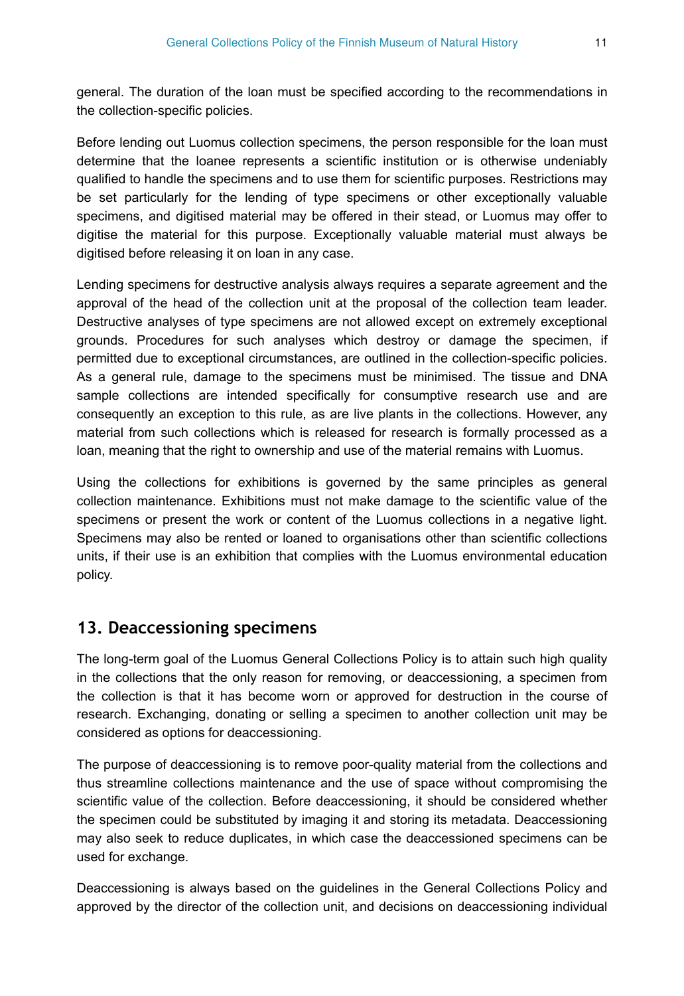general. The duration of the loan must be specified according to the recommendations in the collection-specific policies.

Before lending out Luomus collection specimens, the person responsible for the loan must determine that the loanee represents a scientific institution or is otherwise undeniably qualified to handle the specimens and to use them for scientific purposes. Restrictions may be set particularly for the lending of type specimens or other exceptionally valuable specimens, and digitised material may be offered in their stead, or Luomus may offer to digitise the material for this purpose. Exceptionally valuable material must always be digitised before releasing it on loan in any case.

Lending specimens for destructive analysis always requires a separate agreement and the approval of the head of the collection unit at the proposal of the collection team leader. Destructive analyses of type specimens are not allowed except on extremely exceptional grounds. Procedures for such analyses which destroy or damage the specimen, if permitted due to exceptional circumstances, are outlined in the collection-specific policies. As a general rule, damage to the specimens must be minimised. The tissue and DNA sample collections are intended specifically for consumptive research use and are consequently an exception to this rule, as are live plants in the collections. However, any material from such collections which is released for research is formally processed as a loan, meaning that the right to ownership and use of the material remains with Luomus.

Using the collections for exhibitions is governed by the same principles as general collection maintenance. Exhibitions must not make damage to the scientific value of the specimens or present the work or content of the Luomus collections in a negative light. Specimens may also be rented or loaned to organisations other than scientific collections units, if their use is an exhibition that complies with the Luomus environmental education policy.

#### **13. Deaccessioning specimens**

The long-term goal of the Luomus General Collections Policy is to attain such high quality in the collections that the only reason for removing, or deaccessioning, a specimen from the collection is that it has become worn or approved for destruction in the course of research. Exchanging, donating or selling a specimen to another collection unit may be considered as options for deaccessioning.

The purpose of deaccessioning is to remove poor-quality material from the collections and thus streamline collections maintenance and the use of space without compromising the scientific value of the collection. Before deaccessioning, it should be considered whether the specimen could be substituted by imaging it and storing its metadata. Deaccessioning may also seek to reduce duplicates, in which case the deaccessioned specimens can be used for exchange.

Deaccessioning is always based on the guidelines in the General Collections Policy and approved by the director of the collection unit, and decisions on deaccessioning individual